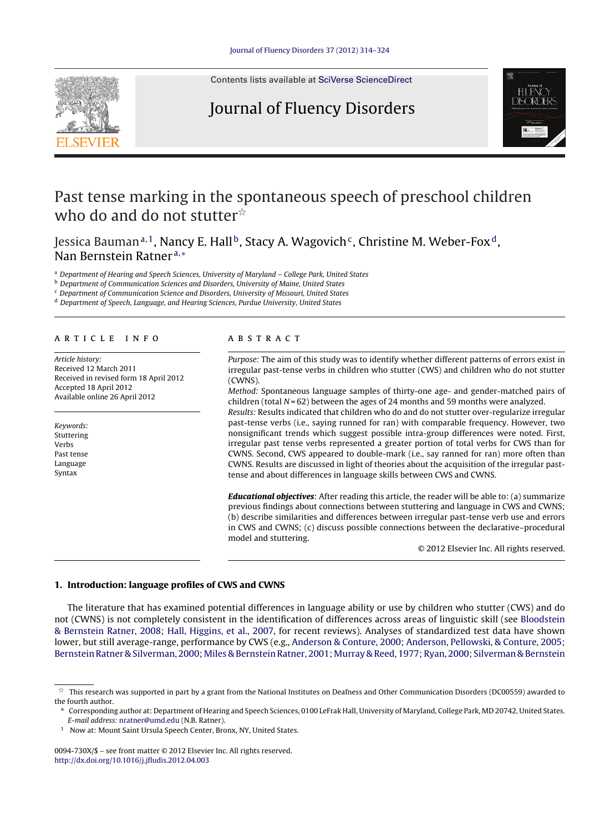

Contents lists available at SciVerse [ScienceDirect](http://www.sciencedirect.com/science/journal/0094730X)

# Journal of Fluency Disorders



# Past tense marking in the spontaneous speech of preschool children who do and do not stutter $\mathbb{\dot{A}}$

Jessica Bauman<sup>a, 1</sup>, Nancy E. Hall<sup>b</sup>, Stacy A. Wagovich<sup>c</sup>, Christine M. Weber-Fox<sup>d</sup>, Nan Bernstein Ratner<sup>a,∗</sup>

<sup>a</sup> Department of Hearing and Speech Sciences, University of Maryland – College Park, United States

**b** Department of Communication Sciences and Disorders, University of Maine, United States

<sup>c</sup> Department of Communication Science and Disorders, University of Missouri, United States

<sup>d</sup> Department of Speech, Language, and Hearing Sciences, Purdue University, United States

#### a r t i c l e i n f o

Article history: Received 12 March 2011 Received in revised form 18 April 2012 Accepted 18 April 2012 Available online 26 April 2012

Keywords: Stuttering Verbs Past tense Language Syntax

## a b s t r a c t

Purpose: The aim of this study was to identify whether different patterns of errors exist in irregular past-tense verbs in children who stutter (CWS) and children who do not stutter (CWNS).

Method: Spontaneous language samples of thirty-one age- and gender-matched pairs of children (total  $N = 62$ ) between the ages of 24 months and 59 months were analyzed.

Results: Results indicated that children who do and do not stutter over-regularize irregular past-tense verbs (i.e., saying runned for ran) with comparable frequency. However, two nonsignificant trends which suggest possible intra-group differences were noted. First, irregular past tense verbs represented a greater portion of total verbs for CWS than for CWNS. Second, CWS appeared to double-mark (i.e., say ranned for ran) more often than CWNS. Results are discussed in light of theories about the acquisition of the irregular pasttense and about differences in language skills between CWS and CWNS.

**Educational objectives**: After reading this article, the reader will be able to: (a) summarize previous findings about connections between stuttering and language in CWS and CWNS; (b) describe similarities and differences between irregular past-tense verb use and errors in CWS and CWNS; (c) discuss possible connections between the declarative–procedural model and stuttering.

© 2012 Elsevier Inc. All rights reserved.

### **1. Introduction: language profiles of CWS and CWNS**

The literature that has examined potential differences in language ability or use by children who stutter (CWS) and do not (CWNS) is not completely consistent in the identification of differences across areas of linguistic skill (see [Bloodstein](#page-9-0) [&](#page-9-0) [Bernstein](#page-9-0) [Ratner,](#page-9-0) [2008;](#page-9-0) [Hall,](#page-9-0) [Higgins,](#page-9-0) et [al.,](#page-9-0) [2007,](#page-9-0) for recent reviews). Analyses of standardized test data have shown lower, but still average-range, performance by CWS (e.g., [Anderson](#page-9-0) [&](#page-9-0) [Conture,](#page-9-0) [2000;](#page-9-0) [Anderson,](#page-9-0) [Pellowski,](#page-9-0) [&](#page-9-0) [Conture,](#page-9-0) [2005;](#page-9-0) [Bernstein](#page-9-0) [Ratner](#page-9-0) [&](#page-9-0) [Silverman,](#page-9-0) 2000; Miles & Bernstein [Ratner,](#page-9-0) 2001; Murray & [Reed,](#page-9-0) [1977;](#page-9-0) [Ryan,](#page-9-0) [2000;](#page-9-0) [Silverman](#page-9-0) & Bernstein

0094-730X/\$ – see front matter © 2012 Elsevier Inc. All rights reserved. [http://dx.doi.org/10.1016/j.jfludis.2012.04.003](dx.doi.org/10.1016/j.jfludis.2012.04.003)

 $^\star$  This research was supported in part by a grant from the National Institutes on Deafness and Other Communication Disorders (DC00559) awarded to the fourth author.

<sup>∗</sup> Corresponding author at: Department of Hearing and Speech Sciences, 0100 LeFrak Hall, University of Maryland, College Park, MD 20742, United States. E-mail address: [nratner@umd.edu](mailto:nratner@umd.edu) (N.B. Ratner).

<sup>&</sup>lt;sup>1</sup> Now at: Mount Saint Ursula Speech Center, Bronx, NY, United States.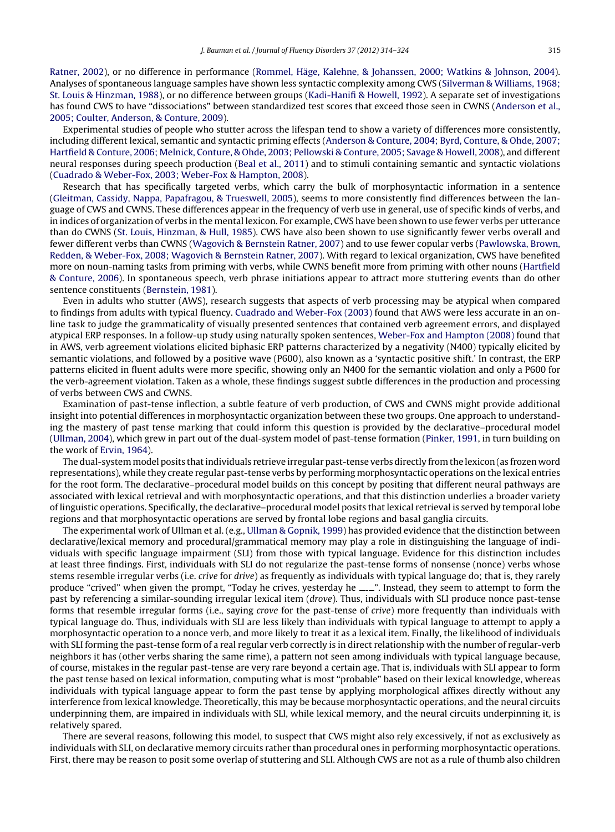[Ratner,](#page-9-0) [2002\),](#page-9-0) or no difference in performance [\(Rommel,](#page-10-0) [Häge,](#page-10-0) [Kalehne,](#page-10-0) [&](#page-10-0) [Johanssen,](#page-10-0) [2000;](#page-10-0) [Watkins](#page-10-0) [&](#page-10-0) [Johnson,](#page-10-0) [2004\).](#page-10-0) Analyses of spontaneous language samples have shown less syntactic complexity among CWS [\(Silverman](#page-10-0) [&](#page-10-0) [Williams,](#page-10-0) [1968;](#page-10-0) [St.](#page-10-0) [Louis](#page-10-0) [&](#page-10-0) [Hinzman,](#page-10-0) [1988\),](#page-10-0) or no difference between groups [\(Kadi-Hanifi](#page-10-0) [&](#page-10-0) [Howell,](#page-10-0) [1992\).](#page-10-0) A separate set of investigations has found CWS to have "dissociations" between standardized test scores that exceed those seen in CWNS [\(Anderson](#page-9-0) et [al.,](#page-9-0) [2005;](#page-9-0) [Coulter,](#page-9-0) [Anderson,](#page-9-0) [&](#page-9-0) [Conture,](#page-9-0) [2009\).](#page-9-0)

Experimental studies of people who stutter across the lifespan tend to show a variety of differences more consistently, including different lexical, semantic and syntactic priming effects [\(Anderson](#page-9-0) [&](#page-9-0) [Conture,](#page-9-0) [2004;](#page-9-0) [Byrd,](#page-9-0) [Conture,](#page-9-0) [&](#page-9-0) [Ohde,](#page-9-0) [2007;](#page-9-0) [Hartfield](#page-9-0) [&](#page-9-0) [Conture,](#page-9-0) [2006;](#page-9-0) [Melnick,](#page-9-0) [Conture,](#page-9-0) [&](#page-9-0) [Ohde,](#page-9-0) [2003;](#page-9-0) [Pellowski](#page-9-0) [&](#page-9-0) [Conture,](#page-9-0) [2005;](#page-9-0) [Savage](#page-9-0) [&](#page-9-0) [Howell,](#page-9-0) [2008\),](#page-9-0) and different neural responses during speech production ([Beal](#page-9-0) et [al.,](#page-9-0) [2011\)](#page-9-0) and to stimuli containing semantic and syntactic violations [\(Cuadrado](#page-9-0) [&](#page-9-0) [Weber-Fox,](#page-9-0) [2003;](#page-9-0) [Weber-Fox](#page-9-0) [&](#page-9-0) [Hampton,](#page-9-0) [2008\).](#page-9-0)

Research that has specifically targeted verbs, which carry the bulk of morphosyntactic information in a sentence [\(Gleitman,](#page-9-0) [Cassidy,](#page-9-0) [Nappa,](#page-9-0) [Papafragou,](#page-9-0) [&](#page-9-0) [Trueswell,](#page-9-0) [2005\),](#page-9-0) seems to more consistently find differences between the language of CWS and CWNS. These differences appear in the frequency of verb use in general, use of specific kinds of verbs, and in indices of organization of verbs in the mental lexicon. For example, CWS have been shown to use fewer verbs per utterance than do CWNS ([St.](#page-10-0) [Louis,](#page-10-0) [Hinzman,](#page-10-0) [&](#page-10-0) [Hull,](#page-10-0) [1985\).](#page-10-0) CWS have also been shown to use significantly fewer verbs overall and fewer different verbs than CWNS ([Wagovich](#page-10-0) [&](#page-10-0) [Bernstein](#page-10-0) [Ratner,](#page-10-0) [2007\)](#page-10-0) and to use fewer copular verbs [\(Pawlowska,](#page-10-0) [Brown,](#page-10-0) [Redden,](#page-10-0) [&](#page-10-0) [Weber-Fox,](#page-10-0) [2008;](#page-10-0) [Wagovich](#page-10-0) [&](#page-10-0) [Bernstein](#page-10-0) [Ratner,](#page-10-0) [2007\).](#page-10-0) With regard to lexical organization, CWS have benefited more on noun-naming tasks from priming with verbs, while CWNS benefit more from priming with other nouns [\(Hartfield](#page-10-0) [&](#page-10-0) [Conture,](#page-10-0) [2006\).](#page-10-0) In spontaneous speech, verb phrase initiations appear to attract more stuttering events than do other sentence constituents [\(Bernstein,](#page-9-0) [1981\).](#page-9-0)

Even in adults who stutter (AWS), research suggests that aspects of verb processing may be atypical when compared to findings from adults with typical fluency. [Cuadrado](#page-9-0) [and](#page-9-0) [Weber-Fox](#page-9-0) [\(2003\)](#page-9-0) found that AWS were less accurate in an online task to judge the grammaticality of visually presented sentences that contained verb agreement errors, and displayed atypical ERP responses. In a follow-up study using naturally spoken sentences, [Weber-Fox](#page-10-0) [and](#page-10-0) [Hampton](#page-10-0) [\(2008\)](#page-10-0) found that in AWS, verb agreement violations elicited biphasic ERP patterns characterized by a negativity (N400) typically elicited by semantic violations, and followed by a positive wave (P600), also known as a 'syntactic positive shift.' In contrast, the ERP patterns elicited in fluent adults were more specific, showing only an N400 for the semantic violation and only a P600 for the verb-agreement violation. Taken as a whole, these findings suggest subtle differences in the production and processing of verbs between CWS and CWNS.

Examination of past-tense inflection, a subtle feature of verb production, of CWS and CWNS might provide additional insight into potential differences in morphosyntactic organization between these two groups. One approach to understanding the mastery of past tense marking that could inform this question is provided by the declarative–procedural model [\(Ullman,](#page-10-0) [2004\),](#page-10-0) which grew in part out of the dual-system model of past-tense formation [\(Pinker,](#page-10-0) [1991,](#page-10-0) in turn building on the work of [Ervin,](#page-9-0) [1964\).](#page-9-0)

The dual-system model posits that individuals retrieve irregular past-tense verbs directly from the lexicon (as frozen word representations), while they create regular past-tense verbs by performing morphosyntactic operations on the lexical entries for the root form. The declarative–procedural model builds on this concept by positing that different neural pathways are associated with lexical retrieval and with morphosyntactic operations, and that this distinction underlies a broader variety of linguistic operations. Specifically, the declarative–procedural model posits that lexical retrieval is served by temporal lobe regions and that morphosyntactic operations are served by frontal lobe regions and basal ganglia circuits.

The experimental work of Ullman et al. (e.g., [Ullman](#page-10-0) [&](#page-10-0) [Gopnik,](#page-10-0) [1999\)](#page-10-0) has provided evidence that the distinction between declarative/lexical memory and procedural/grammatical memory may play a role in distinguishing the language of individuals with specific language impairment (SLI) from those with typical language. Evidence for this distinction includes at least three findings. First, individuals with SLI do not regularize the past-tense forms of nonsense (nonce) verbs whose stems resemble irregular verbs (i.e. crive for drive) as frequently as individuals with typical language do; that is, they rarely produce "crived" when given the prompt, "Today he crives, yesterday he ......". Instead, they seem to attempt to form the past by referencing a similar-sounding irregular lexical item (drove). Thus, individuals with SLI produce nonce past-tense forms that resemble irregular forms (i.e., saying crove for the past-tense of crive) more frequently than individuals with typical language do. Thus, individuals with SLI are less likely than individuals with typical language to attempt to apply a morphosyntactic operation to a nonce verb, and more likely to treat it as a lexical item. Finally, the likelihood of individuals with SLI forming the past-tense form of a real regular verb correctly is in direct relationship with the number of regular-verb neighbors it has (other verbs sharing the same rime), a pattern not seen among individuals with typical language because, of course, mistakes in the regular past-tense are very rare beyond a certain age. That is, individuals with SLI appear to form the past tense based on lexical information, computing what is most "probable" based on their lexical knowledge, whereas individuals with typical language appear to form the past tense by applying morphological affixes directly without any interference from lexical knowledge. Theoretically, this may be because morphosyntactic operations, and the neural circuits underpinning them, are impaired in individuals with SLI, while lexical memory, and the neural circuits underpinning it, is relatively spared.

There are several reasons, following this model, to suspect that CWS might also rely excessively, if not as exclusively as individuals with SLI, on declarative memory circuits rather than procedural ones in performing morphosyntactic operations. First, there may be reason to posit some overlap of stuttering and SLI. Although CWS are not as a rule of thumb also children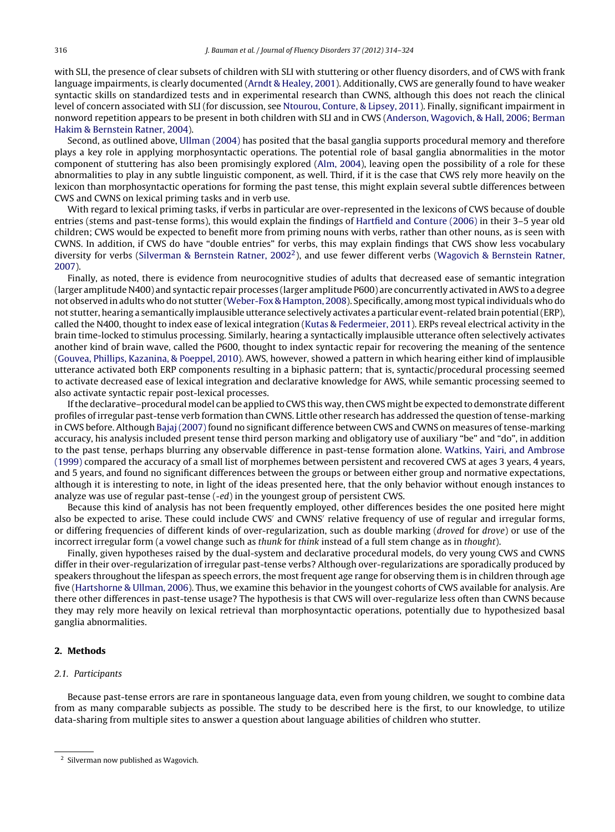with SLI, the presence of clear subsets of children with SLI with stuttering or other fluency disorders, and of CWS with frank language impairments, is clearly documented [\(Arndt](#page-9-0) [&](#page-9-0) [Healey,](#page-9-0) [2001\).](#page-9-0) Additionally, CWS are generally found to have weaker syntactic skills on standardized tests and in experimental research than CWNS, although this does not reach the clinical level of concern associated with SLI (for discussion, see [Ntourou,](#page-10-0) [Conture,](#page-10-0) [&](#page-10-0) [Lipsey,](#page-10-0) [2011\).](#page-10-0) Finally, significant impairment in nonword repetition appears to be present in both children with SLI and in CWS ([Anderson,](#page-9-0) [Wagovich,](#page-9-0) [&](#page-9-0) [Hall,](#page-9-0) [2006;](#page-9-0) [Berman](#page-9-0) [Hakim](#page-9-0) [&](#page-9-0) [Bernstein](#page-9-0) [Ratner,](#page-9-0) [2004\).](#page-9-0)

Second, as outlined above, [Ullman](#page-10-0) [\(2004\)](#page-10-0) has posited that the basal ganglia supports procedural memory and therefore plays a key role in applying morphosyntactic operations. The potential role of basal ganglia abnormalities in the motor component of stuttering has also been promisingly explored ([Alm,](#page-9-0) [2004\),](#page-9-0) leaving open the possibility of a role for these abnormalities to play in any subtle linguistic component, as well. Third, if it is the case that CWS rely more heavily on the lexicon than morphosyntactic operations for forming the past tense, this might explain several subtle differences between CWS and CWNS on lexical priming tasks and in verb use.

With regard to lexical priming tasks, if verbs in particular are over-represented in the lexicons of CWS because of double entries (stems and past-tense forms), this would explain the findings of [Hartfield](#page-10-0) [and](#page-10-0) [Conture](#page-10-0) [\(2006\)](#page-10-0) in their 3–5 year old children; CWS would be expected to benefit more from priming nouns with verbs, rather than other nouns, as is seen with CWNS. In addition, if CWS do have "double entries" for verbs, this may explain findings that CWS show less vocabulary diversity for verbs [\(Silverman](#page-10-0) [&](#page-10-0) [Bernstein](#page-10-0) [Ratner,](#page-10-0) [20022\)](#page-10-0), and use fewer different verbs ([Wagovich](#page-10-0) [&](#page-10-0) [Bernstein](#page-10-0) [Ratner,](#page-10-0) [2007\).](#page-10-0)

Finally, as noted, there is evidence from neurocognitive studies of adults that decreased ease of semantic integration (larger amplitude N400) and syntactic repair processes (larger amplitude P600) are concurrently activated inAWS to a degree not observed in adults who do not stutter ([Weber-Fox](#page-10-0) [&](#page-10-0) [Hampton,](#page-10-0) [2008\).](#page-10-0) Specifically, among mosttypical individuals who do not stutter, hearing a semantically implausible utterance selectively activates a particular event-related brain potential(ERP), called the N400, thought to index ease of lexical integration [\(Kutas](#page-10-0) [&](#page-10-0) [Federmeier,](#page-10-0) [2011\).](#page-10-0) ERPs reveal electrical activity in the brain time-locked to stimulus processing. Similarly, hearing a syntactically implausible utterance often selectively activates another kind of brain wave, called the P600, thought to index syntactic repair for recovering the meaning of the sentence [\(Gouvea,](#page-9-0) [Phillips,](#page-9-0) [Kazanina,](#page-9-0) [&](#page-9-0) [Poeppel,](#page-9-0) [2010\).](#page-9-0) AWS, however, showed a pattern in which hearing either kind of implausible utterance activated both ERP components resulting in a biphasic pattern; that is, syntactic/procedural processing seemed to activate decreased ease of lexical integration and declarative knowledge for AWS, while semantic processing seemed to also activate syntactic repair post-lexical processes.

Ifthe declarative–procedural model can be applied to CWS this way,then CWS might be expected to demonstrate different profiles of irregular past-tense verb formation than CWNS. Little other research has addressed the question of tense-marking in CWS before. Although Bajaj (2007) found no significant difference between CWS and CWNS on measures of tense-marking accuracy, his analysis included present tense third person marking and obligatory use of auxiliary "be" and "do", in addition to the past tense, perhaps blurring any observable difference in past-tense formation alone. [Watkins,](#page-10-0) [Yairi,](#page-10-0) [and](#page-10-0) [Ambrose](#page-10-0) [\(1999\)](#page-10-0) compared the accuracy of a small list of morphemes between persistent and recovered CWS at ages 3 years, 4 years, and 5 years, and found no significant differences between the groups or between either group and normative expectations, although it is interesting to note, in light of the ideas presented here, that the only behavior without enough instances to analyze was use of regular past-tense (-ed) in the youngest group of persistent CWS.

Because this kind of analysis has not been frequently employed, other differences besides the one posited here might also be expected to arise. These could include CWS' and CWNS' relative frequency of use of regular and irregular forms, or differing frequencies of different kinds of over-regularization, such as double marking (droved for drove) or use of the incorrect irregular form (a vowel change such as thunk for think instead of a full stem change as in thought).

Finally, given hypotheses raised by the dual-system and declarative procedural models, do very young CWS and CWNS differ in their over-regularization of irregular past-tense verbs? Although over-regularizations are sporadically produced by speakers throughout the lifespan as speech errors, the most frequent age range for observing them is in children through age five [\(Hartshorne](#page-10-0) [&](#page-10-0) [Ullman,](#page-10-0) [2006\).](#page-10-0) Thus, we examine this behavior in the youngest cohorts of CWS available for analysis. Are there other differences in past-tense usage? The hypothesis is that CWS will over-regularize less often than CWNS because they may rely more heavily on lexical retrieval than morphosyntactic operations, potentially due to hypothesized basal ganglia abnormalities.

## **2. Methods**

#### 2.1. Participants

Because past-tense errors are rare in spontaneous language data, even from young children, we sought to combine data from as many comparable subjects as possible. The study to be described here is the first, to our knowledge, to utilize data-sharing from multiple sites to answer a question about language abilities of children who stutter.

<sup>2</sup> Silverman now published as Wagovich.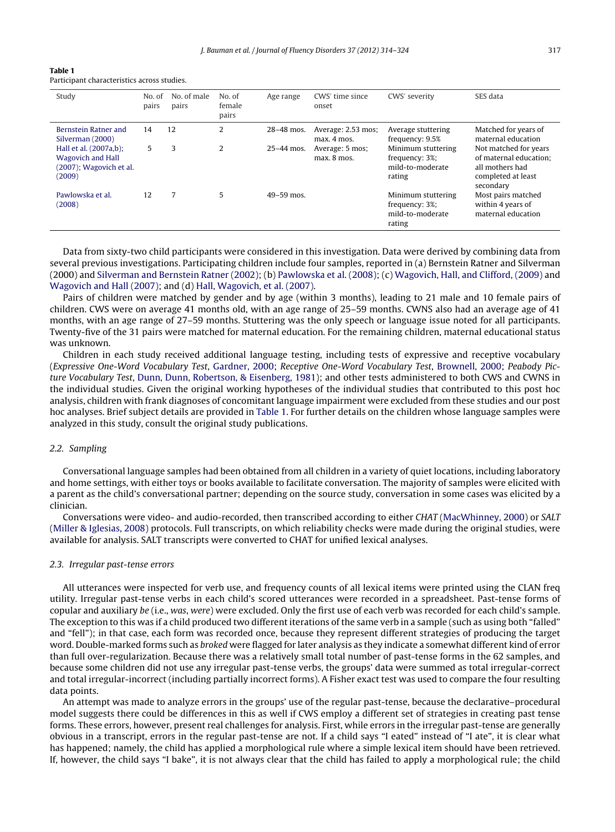| Table 1 |                                             |  |
|---------|---------------------------------------------|--|
|         | Participant characteristics across studies. |  |

| Study                                                                                   | No. of<br>pairs | No. of male<br>pairs | No. of<br>female<br>pairs | Age range      | CWS' time since<br>onset            | CWS <sup>'</sup> severity                                          | SES data                                                                                              |
|-----------------------------------------------------------------------------------------|-----------------|----------------------|---------------------------|----------------|-------------------------------------|--------------------------------------------------------------------|-------------------------------------------------------------------------------------------------------|
| Bernstein Ratner and<br>Silverman (2000)                                                | 14              | 12                   | 2                         | 28-48 mos.     | Average: 2.53 mos:<br>$max. 4$ mos. | Average stuttering<br>frequency: 9.5%                              | Matched for years of<br>maternal education                                                            |
| Hall et al. (2007a,b);<br><b>Wagovich and Hall</b><br>(2007); Wagovich et al.<br>(2009) | 5               | 3                    | 2                         | $25 - 44$ mos. | Average: 5 mos;<br>$max.8$ mos.     | Minimum stuttering<br>frequency: 3%;<br>mild-to-moderate<br>rating | Not matched for years<br>of maternal education:<br>all mothers had<br>completed at least<br>secondary |
| Pawlowska et al.<br>(2008)                                                              | 12              | 7                    | 5                         | $49 - 59$ mos. |                                     | Minimum stuttering<br>frequency: 3%;<br>mild-to-moderate<br>rating | Most pairs matched<br>within 4 years of<br>maternal education                                         |

Data from sixty-two child participants were considered in this investigation. Data were derived by combining data from several previous investigations. Participating children include four samples, reported in (a) Bernstein Ratner and Silverman (2000) and [Silverman](#page-10-0) [and](#page-10-0) [Bernstein](#page-10-0) [Ratner](#page-10-0) [\(2002\);](#page-10-0) (b) [Pawlowska](#page-10-0) et [al.](#page-10-0) [\(2008\);](#page-10-0) (c) [Wagovich,](#page-10-0) [Hall,](#page-10-0) [and](#page-10-0) [Clifford,](#page-10-0) [\(2009\)](#page-10-0) and [Wagovich](#page-10-0) [and](#page-10-0) [Hall](#page-10-0) [\(2007\);](#page-10-0) and (d) [Hall,](#page-10-0) [Wagovich,](#page-10-0) et [al.](#page-10-0) [\(2007\).](#page-10-0)

Pairs of children were matched by gender and by age (within 3 months), leading to 21 male and 10 female pairs of children. CWS were on average 41 months old, with an age range of 25–59 months. CWNS also had an average age of 41 months, with an age range of 27–59 months. Stuttering was the only speech or language issue noted for all participants. Twenty-five of the 31 pairs were matched for maternal education. For the remaining children, maternal educational status was unknown.

Children in each study received additional language testing, including tests of expressive and receptive vocabulary (Expressive One-Word Vocabulary Test, [Gardner,](#page-9-0) [2000;](#page-9-0) Receptive One-Word Vocabulary Test, [Brownell,](#page-9-0) [2000;](#page-9-0) Peabody Picture Vocabulary Test, [Dunn,](#page-9-0) [Dunn,](#page-9-0) [Robertson,](#page-9-0) [&](#page-9-0) [Eisenberg,](#page-9-0) [1981\);](#page-9-0) and other tests administered to both CWS and CWNS in the individual studies. Given the original working hypotheses of the individual studies that contributed to this post hoc analysis, children with frank diagnoses of concomitant language impairment were excluded from these studies and our post hoc analyses. Brief subject details are provided in Table 1. For further details on the children whose language samples were analyzed in this study, consult the original study publications.

#### 2.2. Sampling

Conversational language samples had been obtained from all children in a variety of quiet locations, including laboratory and home settings, with either toys or books available to facilitate conversation. The majority of samples were elicited with a parent as the child's conversational partner; depending on the source study, conversation in some cases was elicited by a clinician.

Conversations were video- and audio-recorded, then transcribed according to either CHAT [\(MacWhinney,](#page-10-0) [2000\)](#page-10-0) or SALT [\(Miller](#page-10-0) [&](#page-10-0) [Iglesias,](#page-10-0) [2008\)](#page-10-0) protocols. Full transcripts, on which reliability checks were made during the original studies, were available for analysis. SALT transcripts were converted to CHAT for unified lexical analyses.

#### 2.3. Irregular past-tense errors

All utterances were inspected for verb use, and frequency counts of all lexical items were printed using the CLAN freq utility. Irregular past-tense verbs in each child's scored utterances were recorded in a spreadsheet. Past-tense forms of copular and auxiliary be (i.e., was, were) were excluded. Only the first use of each verb was recorded for each child's sample. The exception to this was if a child produced two different iterations of the same verb in a sample (such as using both "falled" and "fell"); in that case, each form was recorded once, because they represent different strategies of producing the target word. Double-marked forms such as broked were flagged for later analysis as they indicate a somewhat different kind of error than full over-regularization. Because there was a relatively small total number of past-tense forms in the 62 samples, and because some children did not use any irregular past-tense verbs, the groups' data were summed as total irregular-correct and total irregular-incorrect (including partially incorrect forms). A Fisher exact test was used to compare the four resulting data points.

An attempt was made to analyze errors in the groups' use of the regular past-tense, because the declarative–procedural model suggests there could be differences in this as well if CWS employ a different set of strategies in creating past tense forms. These errors, however, present real challenges for analysis. First, while errors in the irregular past-tense are generally obvious in a transcript, errors in the regular past-tense are not. If a child says "I eated" instead of "I ate", it is clear what has happened; namely, the child has applied a morphological rule where a simple lexical item should have been retrieved. If, however, the child says "I bake", it is not always clear that the child has failed to apply a morphological rule; the child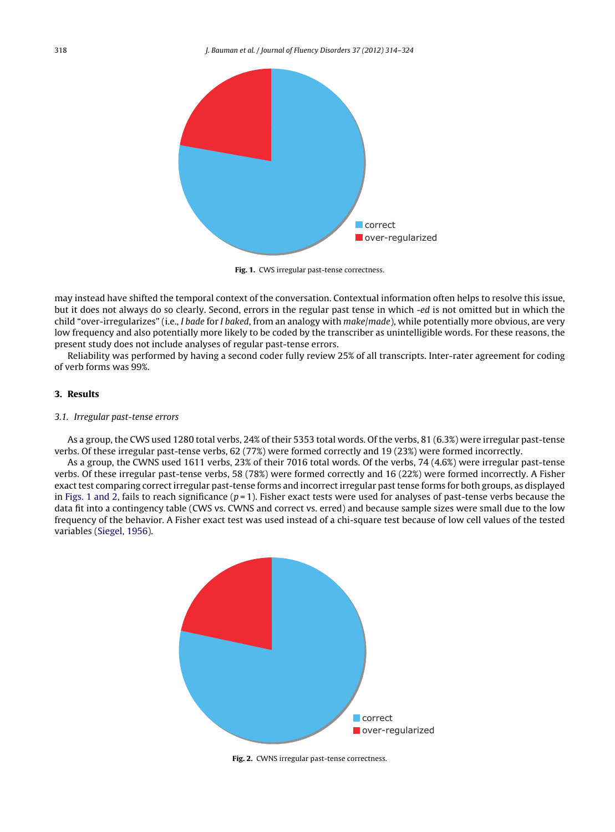

**Fig. 1.** CWS irregular past-tense correctness.

may instead have shifted the temporal context of the conversation. Contextual information often helps to resolve this issue, but it does not always do so clearly. Second, errors in the regular past tense in which -ed is not omitted but in which the child "over-irregularizes" (i.e., *I bade for I baked*, from an analogy with *make/made*), while potentially more obvious, are very low frequency and also potentially more likely to be coded by the transcriber as unintelligible words. For these reasons, the present study does not include analyses of regular past-tense errors.

Reliability was performed by having a second coder fully review 25% of all transcripts. Inter-rater agreement for coding of verb forms was 99%.

## **3. Results**

## 3.1. Irregular past-tense errors

As a group, the CWS used 1280 total verbs, 24% of their 5353 total words. Of the verbs, 81 (6.3%) were irregular past-tense verbs. Of these irregular past-tense verbs, 62 (77%) were formed correctly and 19 (23%) were formed incorrectly.

As a group, the CWNS used 1611 verbs, 23% of their 7016 total words. Of the verbs, 74 (4.6%) were irregular past-tense verbs. Of these irregular past-tense verbs, 58 (78%) were formed correctly and 16 (22%) were formed incorrectly. A Fisher exact test comparing correct irregular past-tense forms and incorrect irregular past tense forms for both groups, as displayed in Figs. 1 and 2, fails to reach significance  $(p=1)$ . Fisher exact tests were used for analyses of past-tense verbs because the data fit into a contingency table (CWS vs. CWNS and correct vs. erred) and because sample sizes were small due to the low frequency of the behavior. A Fisher exact test was used instead of a chi-square test because of low cell values of the tested variables ([Siegel,](#page-10-0) [1956\).](#page-10-0)



**Fig. 2.** CWNS irregular past-tense correctness.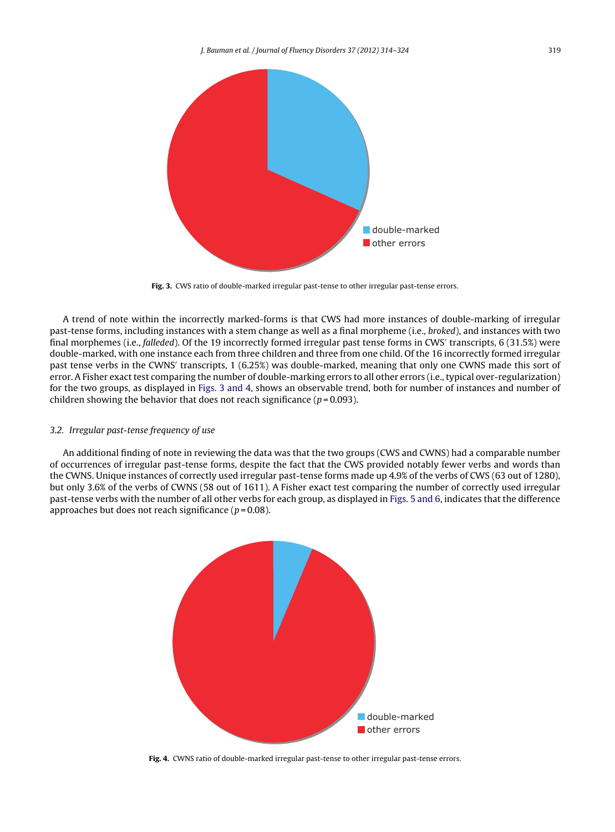

Fig. 3. CWS ratio of double-marked irregular past-tense to other irregular past-tense errors.

A trend of note within the incorrectly marked-forms is that CWS had more instances of double-marking of irregular past-tense forms, including instances with a stem change as well as a final morpheme (i.e., broked), and instances with two final morphemes (i.e., falleded). Of the 19 incorrectly formed irregular past tense forms in CWS' transcripts, 6 (31.5%) were double-marked, with one instance each from three children and three from one child. Of the 16 incorrectly formed irregular past tense verbs in the CWNS' transcripts, 1 (6.25%) was double-marked, meaning that only one CWNS made this sort of error. A Fisher exact test comparing the number of double-marking errors to all other errors (i.e., typical over-regularization) for the two groups, as displayed in Figs. 3 and 4, shows an observable trend, both for number of instances and number of children showing the behavior that does not reach significance ( $p = 0.093$ ).

# 3.2. Irregular past-tense frequency of use

An additional finding of note in reviewing the data was that the two groups (CWS and CWNS) had a comparable number of occurrences of irregular past-tense forms, despite the fact that the CWS provided notably fewer verbs and words than the CWNS. Unique instances of correctly used irregular past-tense forms made up 4.9% of the verbs of CWS (63 out of 1280), but only 3.6% of the verbs of CWNS (58 out of 1611). A Fisher exact test comparing the number of correctly used irregular past-tense verbs with the number of all other verbs for each group, as displayed in [Figs.](#page-6-0) 5 and 6, indicates that the difference approaches but does not reach significance ( $p = 0.08$ ).



**Fig. 4.** CWNS ratio of double-marked irregular past-tense to other irregular past-tense errors.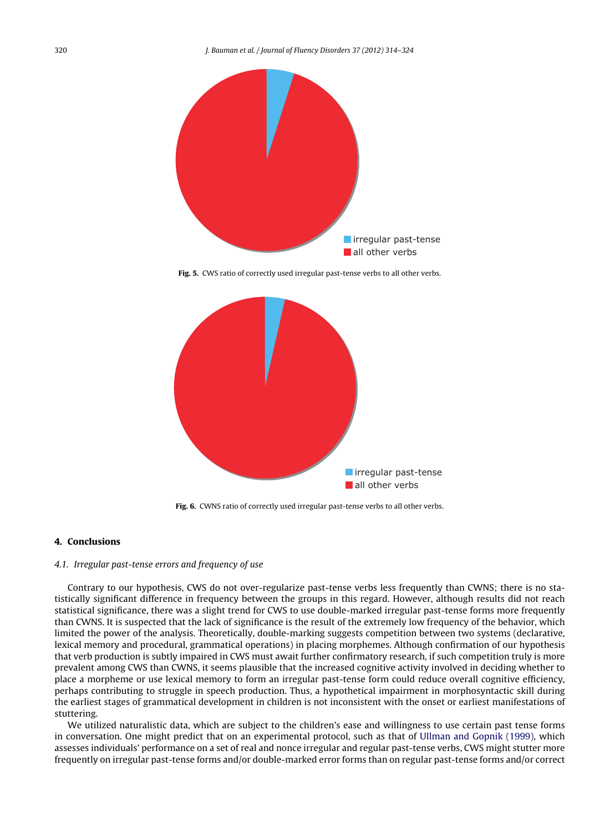<span id="page-6-0"></span>

**Fig. 5.** CWS ratio of correctly used irregular past-tense verbs to all other verbs.



**Fig. 6.** CWNS ratio of correctly used irregular past-tense verbs to all other verbs.

## **4. Conclusions**

#### 4.1. Irregular past-tense errors and frequency of use

Contrary to our hypothesis, CWS do not over-regularize past-tense verbs less frequently than CWNS; there is no statistically significant difference in frequency between the groups in this regard. However, although results did not reach statistical significance, there was a slight trend for CWS to use double-marked irregular past-tense forms more frequently than CWNS. It is suspected that the lack of significance is the result of the extremely low frequency of the behavior, which limited the power of the analysis. Theoretically, double-marking suggests competition between two systems (declarative, lexical memory and procedural, grammatical operations) in placing morphemes. Although confirmation of our hypothesis that verb production is subtly impaired in CWS must await further confirmatory research, if such competition truly is more prevalent among CWS than CWNS, it seems plausible that the increased cognitive activity involved in deciding whether to place a morpheme or use lexical memory to form an irregular past-tense form could reduce overall cognitive efficiency, perhaps contributing to struggle in speech production. Thus, a hypothetical impairment in morphosyntactic skill during the earliest stages of grammatical development in children is not inconsistent with the onset or earliest manifestations of stuttering.

We utilized naturalistic data, which are subject to the children's ease and willingness to use certain past tense forms in conversation. One might predict that on an experimental protocol, such as that of [Ullman](#page-10-0) [and](#page-10-0) [Gopnik](#page-10-0) [\(1999\),](#page-10-0) which assesses individuals' performance on a set of real and nonce irregular and regular past-tense verbs, CWS might stutter more frequently on irregular past-tense forms and/or double-marked error forms than on regular past-tense forms and/or correct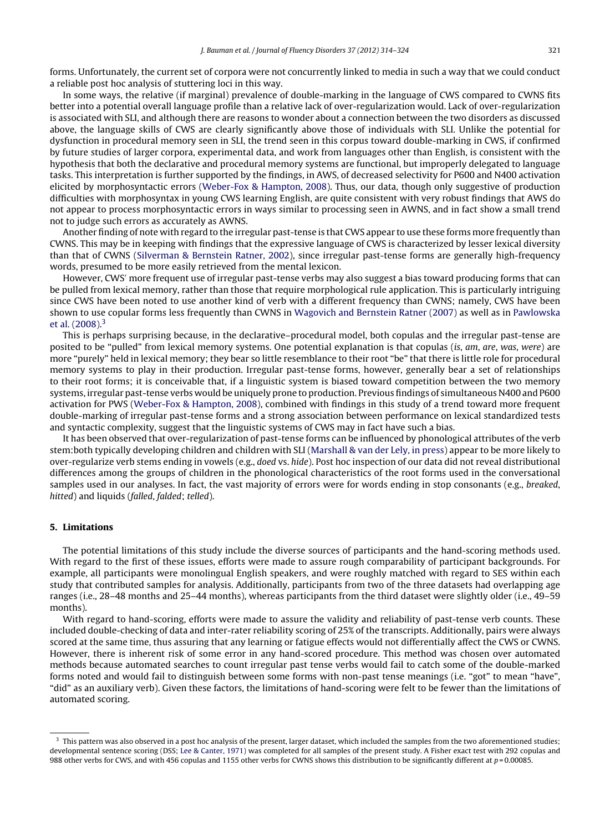forms. Unfortunately, the current set of corpora were not concurrently linked to media in such a way that we could conduct a reliable post hoc analysis of stuttering loci in this way.

In some ways, the relative (if marginal) prevalence of double-marking in the language of CWS compared to CWNS fits better into a potential overall language profile than a relative lack of over-regularization would. Lack of over-regularization is associated with SLI, and although there are reasons to wonder about a connection between the two disorders as discussed above, the language skills of CWS are clearly significantly above those of individuals with SLI. Unlike the potential for dysfunction in procedural memory seen in SLI, the trend seen in this corpus toward double-marking in CWS, if confirmed by future studies of larger corpora, experimental data, and work from languages other than English, is consistent with the hypothesis that both the declarative and procedural memory systems are functional, but improperly delegated to language tasks. This interpretation is further supported by the findings, in AWS, of decreased selectivity for P600 and N400 activation elicited by morphosyntactic errors [\(Weber-Fox](#page-10-0) [&](#page-10-0) [Hampton,](#page-10-0) [2008\).](#page-10-0) Thus, our data, though only suggestive of production difficulties with morphosyntax in young CWS learning English, are quite consistent with very robust findings that AWS do not appear to process morphosyntactic errors in ways similar to processing seen in AWNS, and in fact show a small trend not to judge such errors as accurately as AWNS.

Another finding of note with regard to the irregular past-tense is that CWS appear to use these forms more frequently than CWNS. This may be in keeping with findings that the expressive language of CWS is characterized by lesser lexical diversity than that of CWNS ([Silverman](#page-10-0) [&](#page-10-0) [Bernstein](#page-10-0) [Ratner,](#page-10-0) [2002\),](#page-10-0) since irregular past-tense forms are generally high-frequency words, presumed to be more easily retrieved from the mental lexicon.

However, CWS' more frequent use of irregular past-tense verbs may also suggest a bias toward producing forms that can be pulled from lexical memory, rather than those that require morphological rule application. This is particularly intriguing since CWS have been noted to use another kind of verb with a different frequency than CWNS; namely, CWS have been shown to use copular forms less frequently than CWNS in [Wagovich](#page-10-0) [and](#page-10-0) [Bernstein](#page-10-0) [Ratner](#page-10-0) [\(2007\)](#page-10-0) as well as in [Pawlowska](#page-10-0) et [al.](#page-10-0) [\(2008\).](#page-10-0) 3

This is perhaps surprising because, in the declarative–procedural model, both copulas and the irregular past-tense are posited to be "pulled" from lexical memory systems. One potential explanation is that copulas (is, am, are, was, were) are more "purely" held in lexical memory; they bear so little resemblance to their root "be" that there is little role for procedural memory systems to play in their production. Irregular past-tense forms, however, generally bear a set of relationships to their root forms; it is conceivable that, if a linguistic system is biased toward competition between the two memory systems, irregular past-tense verbs would be uniquely prone to production. Previous findings of simultaneous N400 and P600 activation for PWS ([Weber-Fox](#page-10-0) [&](#page-10-0) [Hampton,](#page-10-0) [2008\),](#page-10-0) combined with findings in this study of a trend toward more frequent double-marking of irregular past-tense forms and a strong association between performance on lexical standardized tests and syntactic complexity, suggest that the linguistic systems of CWS may in fact have such a bias.

It has been observed that over-regularization of past-tense forms can be influenced by phonological attributes of the verb stem:both typically developing children and children with SLI [\(Marshall](#page-10-0) [&](#page-10-0) [van](#page-10-0) [der](#page-10-0) [Lely,](#page-10-0) [in](#page-10-0) [press\)](#page-10-0) appear to be more likely to over-regularize verb stems ending in vowels (e.g., doed vs. hide). Post hoc inspection of our data did not reveal distributional differences among the groups of children in the phonological characteristics of the root forms used in the conversational samples used in our analyses. In fact, the vast majority of errors were for words ending in stop consonants (e.g., breaked, hitted) and liquids (falled, falded; telled).

## **5. Limitations**

The potential limitations of this study include the diverse sources of participants and the hand-scoring methods used. With regard to the first of these issues, efforts were made to assure rough comparability of participant backgrounds. For example, all participants were monolingual English speakers, and were roughly matched with regard to SES within each study that contributed samples for analysis. Additionally, participants from two of the three datasets had overlapping age ranges (i.e., 28–48 months and 25–44 months), whereas participants from the third dataset were slightly older (i.e., 49–59 months).

With regard to hand-scoring, efforts were made to assure the validity and reliability of past-tense verb counts. These included double-checking of data and inter-rater reliability scoring of 25% of the transcripts. Additionally, pairs were always scored at the same time, thus assuring that any learning or fatigue effects would not differentially affect the CWS or CWNS. However, there is inherent risk of some error in any hand-scored procedure. This method was chosen over automated methods because automated searches to count irregular past tense verbs would fail to catch some of the double-marked forms noted and would fail to distinguish between some forms with non-past tense meanings (i.e. "got" to mean "have", "did" as an auxiliary verb). Given these factors, the limitations of hand-scoring were felt to be fewer than the limitations of automated scoring.

 $3$  This pattern was also observed in a post hoc analysis of the present, larger dataset, which included the samples from the two aforementioned studies; developmental sentence scoring (DSS; [Lee](#page-10-0) [&](#page-10-0) [Canter,](#page-10-0) [1971\)](#page-10-0) was completed for all samples of the present study. A Fisher exact test with 292 copulas and 988 other verbs for CWS, and with 456 copulas and 1155 other verbs for CWNS shows this distribution to be significantly different at  $p = 0.00085$ .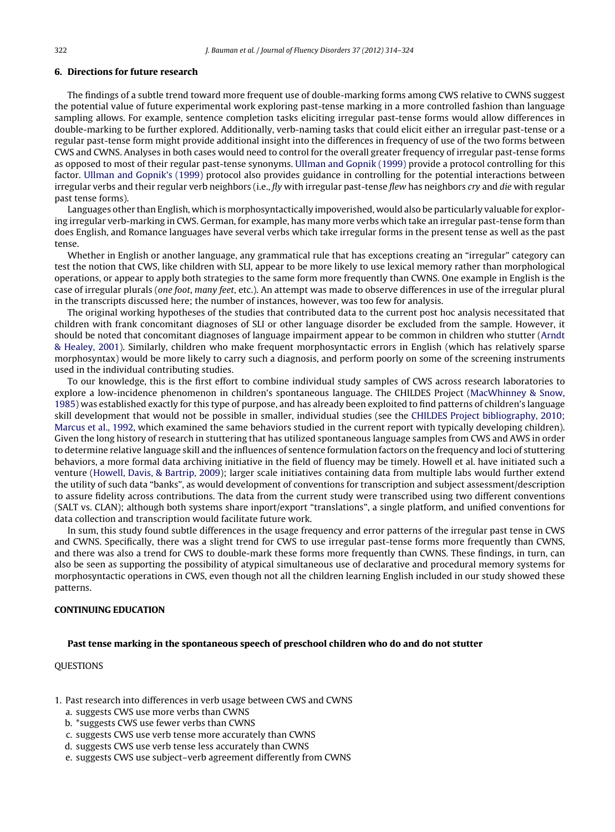## **6. Directions for future research**

The findings of a subtle trend toward more frequent use of double-marking forms among CWS relative to CWNS suggest the potential value of future experimental work exploring past-tense marking in a more controlled fashion than language sampling allows. For example, sentence completion tasks eliciting irregular past-tense forms would allow differences in double-marking to be further explored. Additionally, verb-naming tasks that could elicit either an irregular past-tense or a regular past-tense form might provide additional insight into the differences in frequency of use of the two forms between CWS and CWNS. Analyses in both cases would need to control for the overall greater frequency of irregular past-tense forms as opposed to most of their regular past-tense synonyms. [Ullman](#page-10-0) [and](#page-10-0) [Gopnik](#page-10-0) [\(1999\)](#page-10-0) provide a protocol controlling for this factor. [Ullman](#page-10-0) [and](#page-10-0) [Gopnik's](#page-10-0) [\(1999\)](#page-10-0) protocol also provides guidance in controlling for the potential interactions between irregular verbs and their regular verb neighbors (i.e., fly with irregular past-tense flew has neighbors cry and die with regular past tense forms).

Languages other than English, which is morphosyntactically impoverished, would also be particularly valuable for exploring irregular verb-marking in CWS. German, for example, has many more verbs which take an irregular past-tense form than does English, and Romance languages have several verbs which take irregular forms in the present tense as well as the past tense.

Whether in English or another language, any grammatical rule that has exceptions creating an "irregular" category can test the notion that CWS, like children with SLI, appear to be more likely to use lexical memory rather than morphological operations, or appear to apply both strategies to the same form more frequently than CWNS. One example in English is the case of irregular plurals (one foot, many feet, etc.). An attempt was made to observe differences in use of the irregular plural in the transcripts discussed here; the number of instances, however, was too few for analysis.

The original working hypotheses of the studies that contributed data to the current post hoc analysis necessitated that children with frank concomitant diagnoses of SLI or other language disorder be excluded from the sample. However, it should be noted that concomitant diagnoses of language impairment appear to be common in children who stutter ([Arndt](#page-9-0) [&](#page-9-0) [Healey,](#page-9-0) [2001\).](#page-9-0) Similarly, children who make frequent morphosyntactic errors in English (which has relatively sparse morphosyntax) would be more likely to carry such a diagnosis, and perform poorly on some of the screening instruments used in the individual contributing studies.

To our knowledge, this is the first effort to combine individual study samples of CWS across research laboratories to explore a low-incidence phenomenon in children's spontaneous language. The CHILDES Project [\(MacWhinney](#page-10-0) [&](#page-10-0) [Snow,](#page-10-0) [1985\)](#page-10-0) was established exactly for this type of purpose, and has already been exploited to find patterns of children's language skill development that would not be possible in smaller, individual studies (see the [CHILDES](#page-9-0) [Project](#page-9-0) [bibliography,](#page-9-0) [2010;](#page-9-0) [Marcus](#page-9-0) et [al.,](#page-9-0) [1992,](#page-9-0) which examined the same behaviors studied in the current report with typically developing children). Given the long history of research in stuttering that has utilized spontaneous language samples from CWS and AWS in order to determine relative language skill and the influences of sentence formulation factors on the frequency and loci of stuttering behaviors, a more formal data archiving initiative in the field of fluency may be timely. Howell et al. have initiated such a venture ([Howell,](#page-10-0) [Davis,](#page-10-0) [&](#page-10-0) [Bartrip,](#page-10-0) [2009\);](#page-10-0) larger scale initiatives containing data from multiple labs would further extend the utility of such data "banks", as would development of conventions for transcription and subject assessment/description to assure fidelity across contributions. The data from the current study were transcribed using two different conventions (SALT vs. CLAN); although both systems share inport/export "translations", a single platform, and unified conventions for data collection and transcription would facilitate future work.

In sum, this study found subtle differences in the usage frequency and error patterns of the irregular past tense in CWS and CWNS. Specifically, there was a slight trend for CWS to use irregular past-tense forms more frequently than CWNS, and there was also a trend for CWS to double-mark these forms more frequently than CWNS. These findings, in turn, can also be seen as supporting the possibility of atypical simultaneous use of declarative and procedural memory systems for morphosyntactic operations in CWS, even though not all the children learning English included in our study showed these patterns.

## **CONTINUING EDUCATION**

#### **Past tense marking in the spontaneous speech of preschool children who do and do not stutter**

**QUESTIONS** 

- 1. Past research into differences in verb usage between CWS and CWNS
	- a. suggests CWS use more verbs than CWNS
	- b. \*suggests CWS use fewer verbs than CWNS
	- c. suggests CWS use verb tense more accurately than CWNS
	- d. suggests CWS use verb tense less accurately than CWNS
	- e. suggests CWS use subject–verb agreement differently from CWNS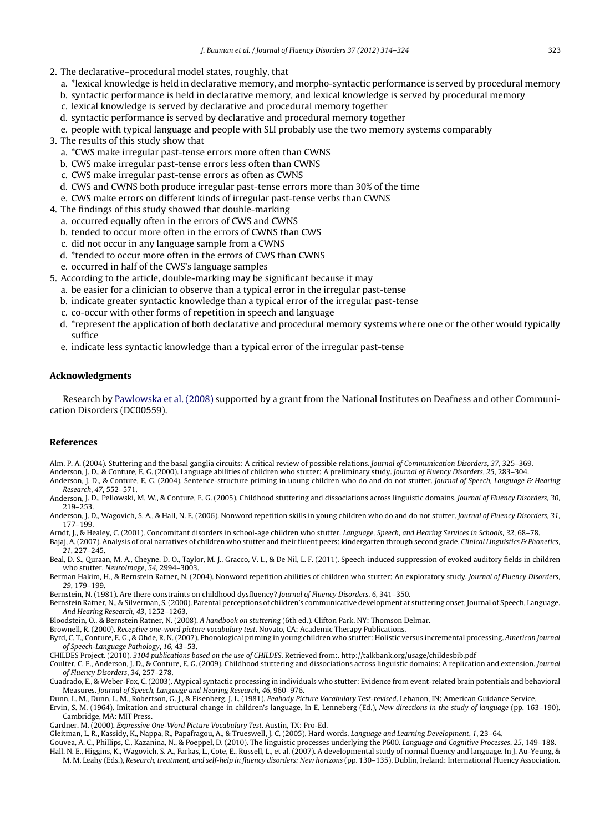- <span id="page-9-0"></span>2. The declarative–procedural model states, roughly, that
	- a. \*lexical knowledge is held in declarative memory, and morpho-syntactic performance is served by procedural memory
	- b. syntactic performance is held in declarative memory, and lexical knowledge is served by procedural memory
	- c. lexical knowledge is served by declarative and procedural memory together
	- d. syntactic performance is served by declarative and procedural memory together
	- e. people with typical language and people with SLI probably use the two memory systems comparably
- 3. The results of this study show that
	- a. \*CWS make irregular past-tense errors more often than CWNS
	- b. CWS make irregular past-tense errors less often than CWNS
	- c. CWS make irregular past-tense errors as often as CWNS
	- d. CWS and CWNS both produce irregular past-tense errors more than 30% of the time
	- e. CWS make errors on different kinds of irregular past-tense verbs than CWNS
- 4. The findings of this study showed that double-marking
	- a. occurred equally often in the errors of CWS and CWNS
	- b. tended to occur more often in the errors of CWNS than CWS
	- c. did not occur in any language sample from a CWNS
	- d. \*tended to occur more often in the errors of CWS than CWNS
	- e. occurred in half of the CWS's language samples
- 5. According to the article, double-marking may be significant because it may
	- a. be easier for a clinician to observe than a typical error in the irregular past-tense
	- b. indicate greater syntactic knowledge than a typical error of the irregular past-tense
	- c. co-occur with other forms of repetition in speech and language
	- d. \*represent the application of both declarative and procedural memory systems where one or the other would typically suffice
	- e. indicate less syntactic knowledge than a typical error of the irregular past-tense

## **Acknowledgments**

Research by [Pawlowska](#page-10-0) et [al.](#page-10-0) [\(2008\)](#page-10-0) supported by a grant from the National Institutes on Deafness and other Communication Disorders (DC00559).

## **References**

Alm, P. A. (2004). Stuttering and the basal ganglia circuits: A critical review of possible relations. Journal of Communication Disorders, 37, 325–369.

Anderson, J. D., & Conture, E. G. (2000). Language abilities of children who stutter: A preliminary study. Journal of Fluency Disorders, 25, 283–304.

- Anderson, J. D., & Conture, E. G. (2004). Sentence-structure priming in uoung children who do and do not stutter. Journal of Speech, Language & Hearing Research, 47, 552–571.
- Anderson, J. D., Pellowski, M. W., & Conture, E. G. (2005). Childhood stuttering and dissociations across linguistic domains. Journal of Fluency Disorders, 30, 219–253.
- Anderson, J. D., Wagovich, S. A., & Hall, N. E. (2006). Nonword repetition skills in young children who do and do not stutter. Journal of Fluency Disorders, 31, 177–199.
- Arndt, J., & Healey, C. (2001). Concomitant disorders in school-age children who stutter. Language, Speech, and Hearing Services in Schools, 32, 68–78.

Bajaj, A. (2007). Analysis of oral narratives of children who stutter and their fluent peers: kindergarten through second grade. Clinical Linguistics & Phonetics, 21, 227–245.

- Beal, D. S., Quraan, M. A., Cheyne, D. O., Taylor, M. J., Gracco, V. L., & De Nil, L. F. (2011). Speech-induced suppression of evoked auditory fields in children who stutter. NeuroImage, 54, 2994–3003.
- Berman Hakim, H., & Bernstein Ratner, N. (2004). Nonword repetition abilities of children who stutter: An exploratory study. Journal of Fluency Disorders, 29, 179–199.
- Bernstein, N. (1981). Are there constraints on childhood dysfluency? Journal of Fluency Disorders, 6, 341–350.
- Bernstein Ratner, N., & Silverman, S.(2000). Parental perceptions of children's communicative development at stuttering onset, Journal of Speech, Language. And Hearing Research, 43, 1252–1263.

Bloodstein, O., & Bernstein Ratner, N. (2008). A handbook on stuttering (6th ed.). Clifton Park, NY: Thomson Delmar.

Brownell, R. (2000). Receptive one-word picture vocabulary test. Novato, CA: Academic Therapy Publications.

Byrd, C. T., Conture, E. G., & Ohde, R. N. (2007). Phonological priming in young children who stutter: Holistic versus incremental processing. American Journal of Speech-Language Pathology, 16, 43–53.

CHILDES Project. (2010). 3104 publications based on the use of CHILDES. Retrieved from:. http://talkbank.org/usage/childesbib.pdf

Coulter, C. E., Anderson, J. D., & Conture, E. G. (2009). Childhood stuttering and dissociations across linguistic domains: A replication and extension. Journal of Fluency Disorders, 34, 257–278.

Cuadrado, E., & Weber-Fox, C. (2003). Atypical syntactic processing in individuals who stutter: Evidence from event-related brain potentials and behavioral Measures. Journal of Speech, Language and Hearing Research, 46, 960–976.

Dunn, L. M., Dunn, L. M., Robertson, G. J., & Eisenberg, J. L. (1981). Peabody Picture Vocabulary Test-revised. Lebanon, IN: American Guidance Service.

Ervin, S. M. (1964). Imitation and structural change in children's language. In E. Lenneberg (Ed.), New directions in the study of language (pp. 163–190). Cambridge, MA: MIT Press.

Gardner, M. (2000). Expressive One-Word Picture Vocabulary Test. Austin, TX: Pro-Ed.

Gleitman, L. R., Kassidy, K., Nappa, R., Papafragou, A., & Trueswell, J. C. (2005). Hard words. Language and Learning Development, 1, 23–64.

Gouvea, A. C., Phillips, C., Kazanina, N., & Poeppel, D. (2010). The linguistic processes underlying the P600. Language and Cognitive Processes, 25, 149–188.

Hall, N. E., Higgins, K., Wagovich, S. A., Farkas, L., Cote, E., Russell, L., et al. (2007). A developmental study of normal fluency and language. In J. Au-Yeung, & M. M. Leahy (Eds.), Research, treatment, and self-help in fluency disorders: New horizons (pp. 130–135). Dublin, Ireland: International Fluency Association.